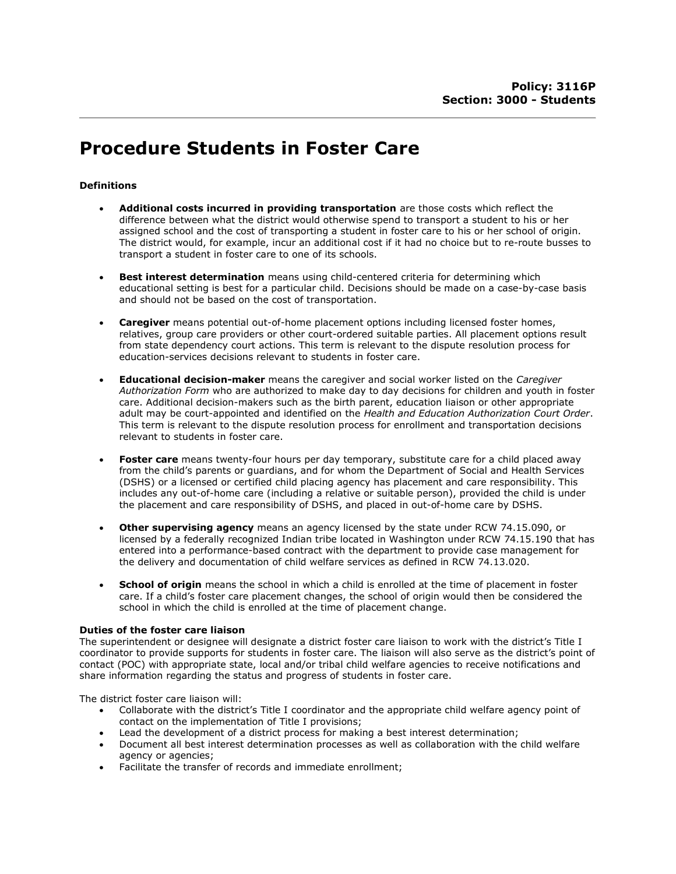# Procedure Students in Foster Care

## Definitions

- Additional costs incurred in providing transportation are those costs which reflect the difference between what the district would otherwise spend to transport a student to his or her assigned school and the cost of transporting a student in foster care to his or her school of origin. The district would, for example, incur an additional cost if it had no choice but to re-route busses to transport a student in foster care to one of its schools.
- **Best interest determination** means using child-centered criteria for determining which educational setting is best for a particular child. Decisions should be made on a case-by-case basis and should not be based on the cost of transportation.
- Caregiver means potential out-of-home placement options including licensed foster homes, relatives, group care providers or other court-ordered suitable parties. All placement options result from state dependency court actions. This term is relevant to the dispute resolution process for education-services decisions relevant to students in foster care.
- **Educational decision-maker** means the caregiver and social worker listed on the Caregiver Authorization Form who are authorized to make day to day decisions for children and youth in foster care. Additional decision-makers such as the birth parent, education liaison or other appropriate adult may be court-appointed and identified on the Health and Education Authorization Court Order. This term is relevant to the dispute resolution process for enrollment and transportation decisions relevant to students in foster care.
- Foster care means twenty-four hours per day temporary, substitute care for a child placed away from the child's parents or guardians, and for whom the Department of Social and Health Services (DSHS) or a licensed or certified child placing agency has placement and care responsibility. This includes any out-of-home care (including a relative or suitable person), provided the child is under the placement and care responsibility of DSHS, and placed in out-of-home care by DSHS.
- Other supervising agency means an agency licensed by the state under RCW 74.15.090, or licensed by a federally recognized Indian tribe located in Washington under RCW 74.15.190 that has entered into a performance-based contract with the department to provide case management for the delivery and documentation of child welfare services as defined in RCW 74.13.020.
- **School of origin** means the school in which a child is enrolled at the time of placement in foster care. If a child's foster care placement changes, the school of origin would then be considered the school in which the child is enrolled at the time of placement change.

## Duties of the foster care liaison

The superintendent or designee will designate a district foster care liaison to work with the district's Title I coordinator to provide supports for students in foster care. The liaison will also serve as the district's point of contact (POC) with appropriate state, local and/or tribal child welfare agencies to receive notifications and share information regarding the status and progress of students in foster care.

The district foster care liaison will:

- Collaborate with the district's Title I coordinator and the appropriate child welfare agency point of contact on the implementation of Title I provisions;
- Lead the development of a district process for making a best interest determination;
- Document all best interest determination processes as well as collaboration with the child welfare agency or agencies;
- Facilitate the transfer of records and immediate enrollment;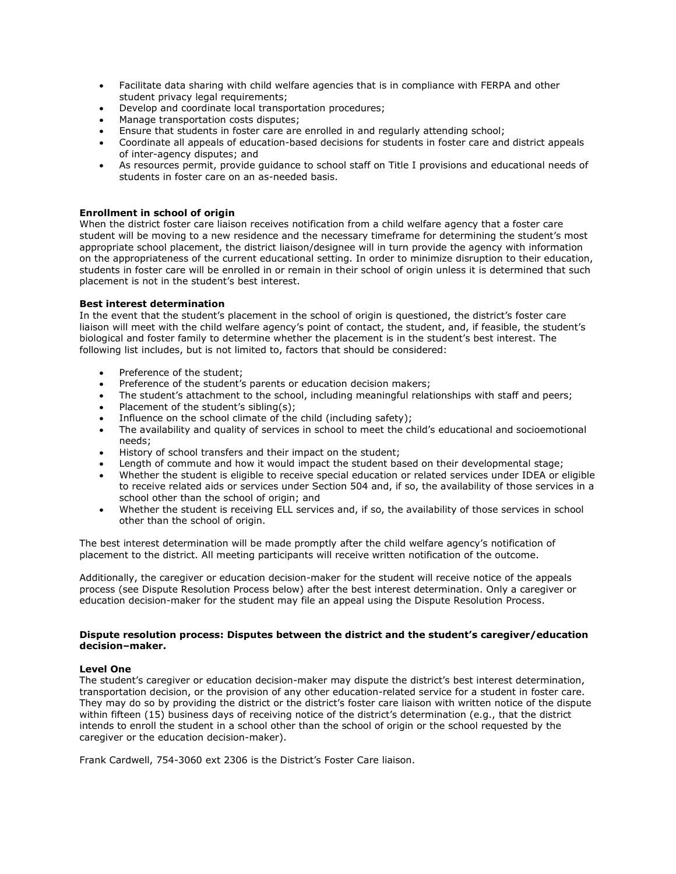- Facilitate data sharing with child welfare agencies that is in compliance with FERPA and other student privacy legal requirements;
- Develop and coordinate local transportation procedures;
- Manage transportation costs disputes;
- Ensure that students in foster care are enrolled in and regularly attending school;
- Coordinate all appeals of education-based decisions for students in foster care and district appeals of inter-agency disputes; and
- As resources permit, provide guidance to school staff on Title I provisions and educational needs of students in foster care on an as-needed basis.

## Enrollment in school of origin

When the district foster care liaison receives notification from a child welfare agency that a foster care student will be moving to a new residence and the necessary timeframe for determining the student's most appropriate school placement, the district liaison/designee will in turn provide the agency with information on the appropriateness of the current educational setting. In order to minimize disruption to their education, students in foster care will be enrolled in or remain in their school of origin unless it is determined that such placement is not in the student's best interest.

## Best interest determination

In the event that the student's placement in the school of origin is questioned, the district's foster care liaison will meet with the child welfare agency's point of contact, the student, and, if feasible, the student's biological and foster family to determine whether the placement is in the student's best interest. The following list includes, but is not limited to, factors that should be considered:

- Preference of the student;
- Preference of the student's parents or education decision makers;
- The student's attachment to the school, including meaningful relationships with staff and peers;
- Placement of the student's sibling(s);
- $\bullet$  Influence on the school climate of the child (including safety);
- The availability and quality of services in school to meet the child's educational and socioemotional needs;
- History of school transfers and their impact on the student;
- Length of commute and how it would impact the student based on their developmental stage;
- Whether the student is eligible to receive special education or related services under IDEA or eligible to receive related aids or services under Section 504 and, if so, the availability of those services in a school other than the school of origin; and
- Whether the student is receiving ELL services and, if so, the availability of those services in school other than the school of origin.

The best interest determination will be made promptly after the child welfare agency's notification of placement to the district. All meeting participants will receive written notification of the outcome.

Additionally, the caregiver or education decision-maker for the student will receive notice of the appeals process (see Dispute Resolution Process below) after the best interest determination. Only a caregiver or education decision-maker for the student may file an appeal using the Dispute Resolution Process.

### Dispute resolution process: Disputes between the district and the student's caregiver/education decision–maker.

## Level One

The student's caregiver or education decision-maker may dispute the district's best interest determination, transportation decision, or the provision of any other education-related service for a student in foster care. They may do so by providing the district or the district's foster care liaison with written notice of the dispute within fifteen (15) business days of receiving notice of the district's determination (e.g., that the district intends to enroll the student in a school other than the school of origin or the school requested by the caregiver or the education decision-maker).

Frank Cardwell, 754-3060 ext 2306 is the District's Foster Care liaison.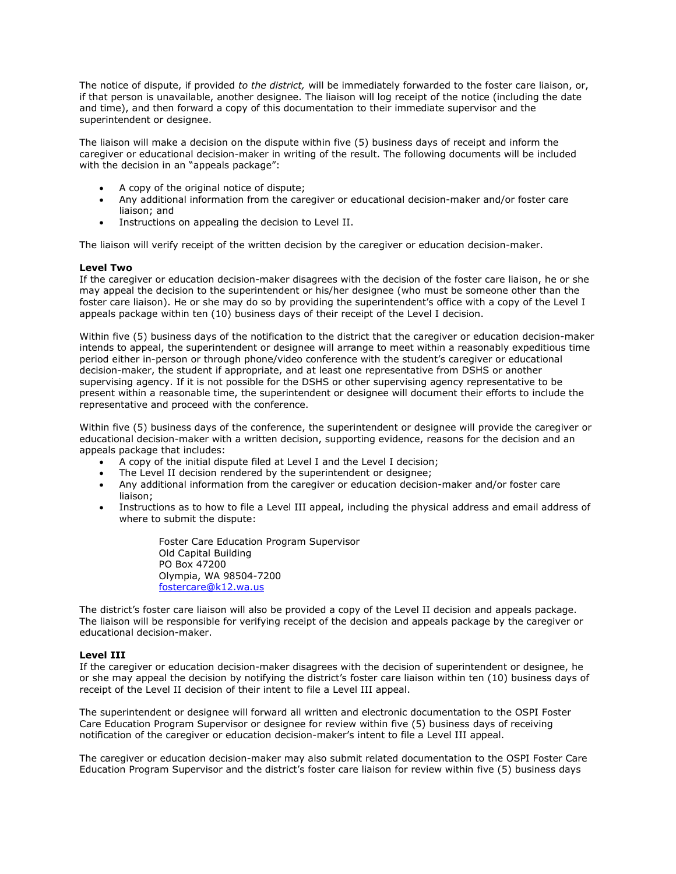The notice of dispute, if provided to the district, will be immediately forwarded to the foster care liaison, or, if that person is unavailable, another designee. The liaison will log receipt of the notice (including the date and time), and then forward a copy of this documentation to their immediate supervisor and the superintendent or designee.

The liaison will make a decision on the dispute within five (5) business days of receipt and inform the caregiver or educational decision-maker in writing of the result. The following documents will be included with the decision in an "appeals package":

- A copy of the original notice of dispute;
- Any additional information from the caregiver or educational decision-maker and/or foster care liaison; and
- **•** Instructions on appealing the decision to Level II.

The liaison will verify receipt of the written decision by the caregiver or education decision-maker.

### Level Two

If the caregiver or education decision-maker disagrees with the decision of the foster care liaison, he or she may appeal the decision to the superintendent or his/her designee (who must be someone other than the foster care liaison). He or she may do so by providing the superintendent's office with a copy of the Level I appeals package within ten (10) business days of their receipt of the Level I decision.

Within five (5) business days of the notification to the district that the caregiver or education decision-maker intends to appeal, the superintendent or designee will arrange to meet within a reasonably expeditious time period either in-person or through phone/video conference with the student's caregiver or educational decision-maker, the student if appropriate, and at least one representative from DSHS or another supervising agency. If it is not possible for the DSHS or other supervising agency representative to be present within a reasonable time, the superintendent or designee will document their efforts to include the representative and proceed with the conference.

Within five (5) business days of the conference, the superintendent or designee will provide the caregiver or educational decision-maker with a written decision, supporting evidence, reasons for the decision and an appeals package that includes:

- A copy of the initial dispute filed at Level I and the Level I decision;
- The Level II decision rendered by the superintendent or designee;
- Any additional information from the caregiver or education decision-maker and/or foster care liaison;
- Instructions as to how to file a Level III appeal, including the physical address and email address of where to submit the dispute:

Foster Care Education Program Supervisor Old Capital Building PO Box 47200 Olympia, WA 98504-7200 fostercare@k12.wa.us

The district's foster care liaison will also be provided a copy of the Level II decision and appeals package. The liaison will be responsible for verifying receipt of the decision and appeals package by the caregiver or educational decision-maker.

## Level III

If the caregiver or education decision-maker disagrees with the decision of superintendent or designee, he or she may appeal the decision by notifying the district's foster care liaison within ten (10) business days of receipt of the Level II decision of their intent to file a Level III appeal.

The superintendent or designee will forward all written and electronic documentation to the OSPI Foster Care Education Program Supervisor or designee for review within five (5) business days of receiving notification of the caregiver or education decision-maker's intent to file a Level III appeal.

The caregiver or education decision-maker may also submit related documentation to the OSPI Foster Care Education Program Supervisor and the district's foster care liaison for review within five (5) business days